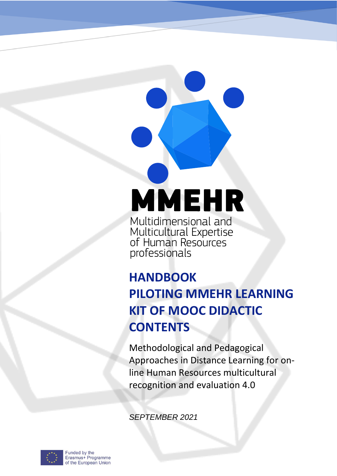# **MMEHR**

Multidimensional and<br>Multicultural Expertise<br>of Human Resources<br>professionals

## **HANDBOOK PILOTING MMEHR LEARNING KIT OF MOOC DIDACTIC CONTENTS**

Methodological and Pedagogical Approaches in Distance Learning for online Human Resources multicultural recognition and evaluation 4.0

*SEPTEMBER 2021*



Funded by the Erasmus+ Programme of the European Union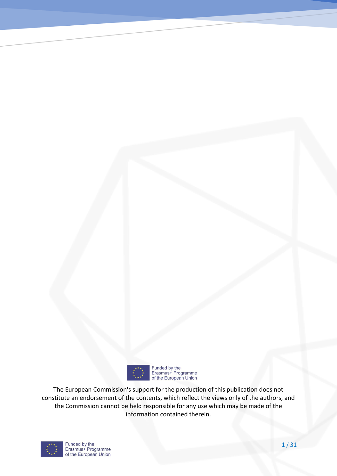

Funded by the<br>Erasmus+ Programme<br>of the European Union

The European Commission's support for the production of this publication does not constitute an endorsement of the contents, which reflect the views only of the authors, and the Commission cannot be held responsible for any use which may be made of the information contained therein.

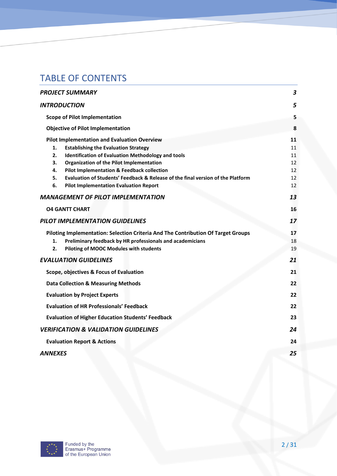## TABLE OF CONTENTS

| PROJECT SUMMARY                                                                       | $\boldsymbol{3}$ |
|---------------------------------------------------------------------------------------|------------------|
| <b>INTRODUCTION</b>                                                                   | 5                |
| <b>Scope of Pilot Implementation</b>                                                  | 5                |
| <b>Objective of Pilot Implementation</b>                                              | 8                |
| <b>Pilot Implementation and Evaluation Overview</b>                                   | 11               |
| 1.<br><b>Establishing the Evaluation Strategy</b>                                     | 11               |
| 2.<br><b>Identification of Evaluation Methodology and tools</b>                       | 11               |
| 3.<br><b>Organization of the Pilot Implementation</b>                                 | 12               |
| 4.<br><b>Pilot Implementation &amp; Feedback collection</b>                           | 12               |
| Evaluation of Students' Feedback & Release of the final version of the Platform<br>5. | 12               |
| 6.<br><b>Pilot Implementation Evaluation Report</b>                                   | 12               |
| <b>MANAGEMENT OF PILOT IMPLEMENTATION</b>                                             | 13               |
| <b>04 GANTT CHART</b>                                                                 | 16               |
| PILOT IMPLEMENTATION GUIDELINES                                                       | 17               |
| Piloting Implementation: Selection Criteria And The Contribution Of Target Groups     | 17               |
| Preliminary feedback by HR professionals and academicians<br>1.                       | 18               |
| 2.<br>Piloting of MOOC Modules with students                                          | 19               |
| <b>EVALUATION GUIDELINES</b>                                                          | 21               |
| Scope, objectives & Focus of Evaluation                                               | 21               |
| <b>Data Collection &amp; Measuring Methods</b>                                        | 22               |
| <b>Evaluation by Project Experts</b>                                                  | 22               |
| <b>Evaluation of HR Professionals' Feedback</b>                                       | 22               |
| <b>Evaluation of Higher Education Students' Feedback</b>                              | 23               |
| <b>VERIFICATION &amp; VALIDATION GUIDELINES</b>                                       | 24               |
| <b>Evaluation Report &amp; Actions</b>                                                | 24               |
| ANNEXES                                                                               | 25               |

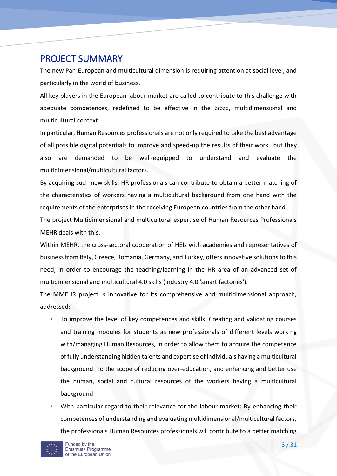## PROJECT SUMMARY

The new Pan-European and multicultural dimension is requiring attention at social level, and particularly in the world of business.

All key players in the European labour market are called to contribute to this challenge with adequate competences, redefined to be effective in the broad, multidimensional and multicultural context.

In particular, Human Resources professionals are not only required to take the best advantage of all possible digital potentials to improve and speed-up the results of their work , but they also are demanded to be well-equipped to understand and evaluate the multidimensional/multicultural factors.

By acquiring such new skills, HR professionals can contribute to obtain a better matching of the characteristics of workers having a multicultural background from one hand with the requirements of the enterprises in the receiving European countries from the other hand.

The project Multidimensional and multicultural expertise of Human Resources Professionals MEHR deals with this.

Within MEHR, the cross-sectoral cooperation of HEIs with academies and representatives of business from Italy, Greece, Romania, Germany, and Turkey, offers innovative solutions to this need, in order to encourage the teaching/learning in the HR area of an advanced set of multidimensional and multicultural 4.0 skills (Industry 4.0 'smart factories').

The MMEHR project is innovative for its comprehensive and multidimensional approach, addressed:

- To improve the level of key competences and skills: Creating and validating courses and training modules for students as new professionals of different levels working with/managing Human Resources, in order to allow them to acquire the competence of fully understanding hidden talents and expertise of individuals having a multicultural background. To the scope of reducing over-education, and enhancing and better use the human, social and cultural resources of the workers having a multicultural background.
- With particular regard to their relevance for the labour market: By enhancing their competences of understanding and evaluating multidimensional/multicultural factors, the professionals Human Resources professionals will contribute to a better matching

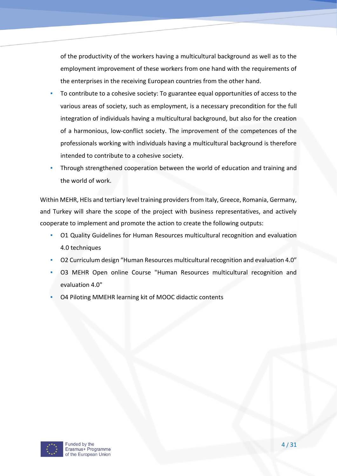of the productivity of the workers having a multicultural background as well as to the employment improvement of these workers from one hand with the requirements of the enterprises in the receiving European countries from the other hand.

- To contribute to a cohesive society: To guarantee equal opportunities of access to the various areas of society, such as employment, is a necessary precondition for the full integration of individuals having a multicultural background, but also for the creation of a harmonious, low-conflict society. The improvement of the competences of the professionals working with individuals having a multicultural background is therefore intended to contribute to a cohesive society.
- Through strengthened cooperation between the world of education and training and the world of work.

Within MEHR, HEIs and tertiary level training providers from Italy, Greece, Romania, Germany, and Turkey will share the scope of the project with business representatives, and actively cooperate to implement and promote the action to create the following outputs:

- O1 Quality Guidelines for Human Resources multicultural recognition and evaluation 4.0 techniques
- O2 Curriculum design "Human Resources multicultural recognition and evaluation 4.0"
- **O3 MEHR Open online Course "Human Resources multicultural recognition and** evaluation 4.0"
- 04 Piloting MMEHR learning kit of MOOC didactic contents

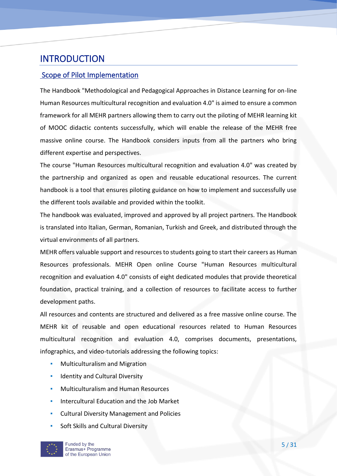## INTRODUCTION

## Scope of Pilot Implementation

The Handbook "Methodological and Pedagogical Approaches in Distance Learning for on-line Human Resources multicultural recognition and evaluation 4.0" is aimed to ensure a common framework for all MEHR partners allowing them to carry out the piloting of MEHR learning kit of MOOC didactic contents successfully, which will enable the release of the MEHR free massive online course. The Handbook considers inputs from all the partners who bring different expertise and perspectives.

The course "Human Resources multicultural recognition and evaluation 4.0" was created by the partnership and organized as open and reusable educational resources. The current handbook is a tool that ensures piloting guidance on how to implement and successfully use the different tools available and provided within the toolkit.

The handbook was evaluated, improved and approved by all project partners. The Handbook is translated into Italian, German, Romanian, Turkish and Greek, and distributed through the virtual environments of all partners.

MEHR offers valuable support and resources to students going to start their careers as Human Resources professionals. MEHR Open online Course "Human Resources multicultural recognition and evaluation 4.0" consists of eight dedicated modules that provide theoretical foundation, practical training, and a collection of resources to facilitate access to further development paths.

All resources and contents are structured and delivered as a free massive online course. The MEHR kit of reusable and open educational resources related to Human Resources multicultural recognition and evaluation 4.0, comprises documents, presentations, infographics, and video-tutorials addressing the following topics:

- **Multiculturalism and Migration**
- **EXECUTE:** Identity and Cultural Diversity
- **Multiculturalism and Human Resources**
- **Intercultural Education and the Job Market**
- **Cultural Diversity Management and Policies**
- Soft Skills and Cultural Diversity

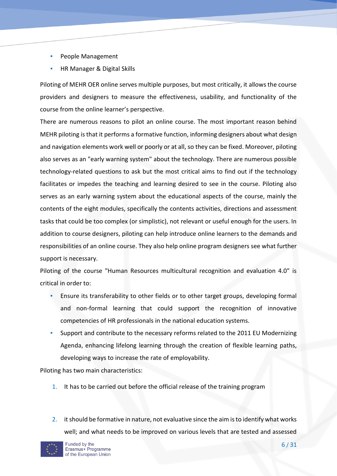- People Management
- **HR Manager & Digital Skills**

Piloting of MEHR OER online serves multiple purposes, but most critically, it allows the course providers and designers to measure the effectiveness, usability, and functionality of the course from the online learner's perspective.

There are numerous reasons to pilot an online course. The most important reason behind MEHR piloting is that it performs a formative function, informing designers about what design and navigation elements work well or poorly or at all, so they can be fixed. Moreover, piloting also serves as an "early warning system" about the technology. There are numerous possible technology-related questions to ask but the most critical aims to find out if the technology facilitates or impedes the teaching and learning desired to see in the course. Piloting also serves as an early warning system about the educational aspects of the course, mainly the contents of the eight modules, specifically the contents activities, directions and assessment tasks that could be too complex (or simplistic), not relevant or useful enough for the users. In addition to course designers, piloting can help introduce online learners to the demands and responsibilities of an online course. They also help online program designers see what further support is necessary.

Piloting of the course "Human Resources multicultural recognition and evaluation 4.0" is critical in order to:

- Ensure its transferability to other fields or to other target groups, developing formal and non-formal learning that could support the recognition of innovative competencies of HR professionals in the national education systems.
- Support and contribute to the necessary reforms related to the 2011 EU Modernizing Agenda, enhancing lifelong learning through the creation of flexible learning paths, developing ways to increase the rate of employability.

Piloting has two main characteristics:

- 1. It has to be carried out before the official release of the training program
- 2. it should be formative in nature, not evaluative since the aim is to identify what works well; and what needs to be improved on various levels that are tested and assessed

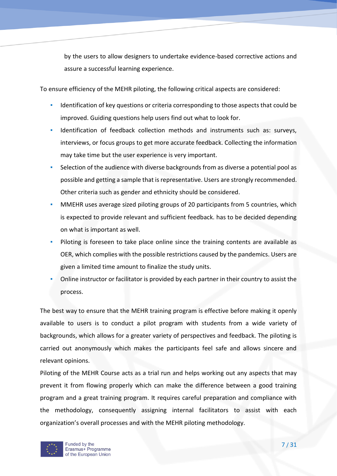by the users to allow designers to undertake evidence-based corrective actions and assure a successful learning experience.

To ensure efficiency of the MEHR piloting, the following critical aspects are considered:

- **·** Identification of key questions or criteria corresponding to those aspects that could be improved. Guiding questions help users find out what to look for.
- Identification of feedback collection methods and instruments such as: surveys, interviews, or focus groups to get more accurate feedback. Collecting the information may take time but the user experience is very important.
- Selection of the audience with diverse backgrounds from as diverse a potential pool as possible and getting a sample that is representative. Users are strongly recommended. Other criteria such as gender and ethnicity should be considered.
- MMEHR uses average sized piloting groups of 20 participants from 5 countries, which is expected to provide relevant and sufficient feedback. has to be decided depending on what is important as well.
- Piloting is foreseen to take place online since the training contents are available as OER, which complies with the possible restrictions caused by the pandemics. Users are given a limited time amount to finalize the study units.
- Online instructor or facilitator is provided by each partner in their country to assist the process.

The best way to ensure that the MEHR training program is effective before making it openly available to users is to conduct a pilot program with students from a wide variety of backgrounds, which allows for a greater variety of perspectives and feedback. The piloting is carried out anonymously which makes the participants feel safe and allows sincere and relevant opinions.

Piloting of the MEHR Course acts as a trial run and helps working out any aspects that may prevent it from flowing properly which can make the difference between a good training program and a great training program. It requires careful preparation and compliance with the methodology, consequently assigning internal facilitators to assist with each organization's overall processes and with the MEHR piloting methodology.

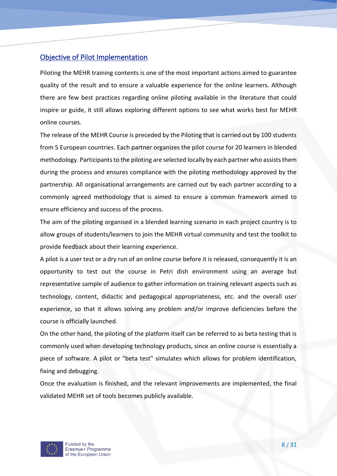## Objective of Pilot Implementation

Piloting the MEHR training contents is one of the most important actions aimed to guarantee quality of the result and to ensure a valuable experience for the online learners. Although there are few best practices regarding online piloting available in the literature that could inspire or guide, it still allows exploring different options to see what works best for MEHR online courses.

The release of the MEHR Course is preceded by the Piloting that is carried out by 100 students from 5 European countries. Each partner organizes the pilot course for 20 learners in blended methodology. Participants to the piloting are selected locally by each partner who assists them during the process and ensures compliance with the piloting methodology approved by the partnership. All organisational arrangements are carried out by each partner according to a commonly agreed methodology that is aimed to ensure a common framework aimed to ensure efficiency and success of the process.

The aim of the piloting organised in a blended learning scenario in each project country is to allow groups of students/learners to join the MEHR virtual community and test the toolkit to provide feedback about their learning experience.

A pilot is a user test or a dry run of an online course before it is released, consequently it is an opportunity to test out the course in Petri dish environment using an average but representative sample of audience to gather information on training relevant aspects such as technology, content, didactic and pedagogical appropriateness, etc. and the overall user experience, so that it allows solving any problem and/or improve deficiencies before the course is officially launched.

On the other hand, the piloting of the platform itself can be referred to as beta testing that is commonly used when developing technology products, since an online course is essentially a piece of software. A pilot or "beta test" simulates which allows for problem identification, fixing and debugging.

Once the evaluation is finished, and the relevant improvements are implemented, the final validated MEHR set of tools becomes publicly available.

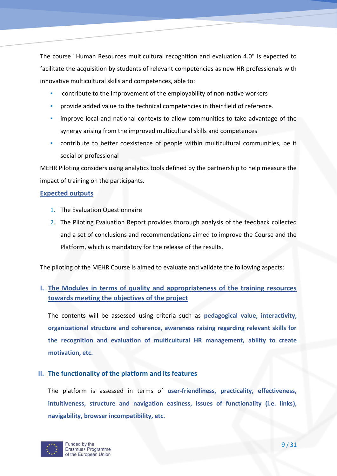The course "Human Resources multicultural recognition and evaluation 4.0" is expected to facilitate the acquisition by students of relevant competencies as new HR professionals with innovative multicultural skills and competences, able to:

- **•** contribute to the improvement of the employability of non-native workers
- provide added value to the technical competencies in their field of reference.
- **•** improve local and national contexts to allow communities to take advantage of the synergy arising from the improved multicultural skills and competences
- contribute to better coexistence of people within multicultural communities, be it social or professional

MEHR Piloting considers using analytics tools defined by the partnership to help measure the impact of training on the participants.

#### **Expected outputs**

- 1. The Evaluation Questionnaire
- 2. The Piloting Evaluation Report provides thorough analysis of the feedback collected and a set of conclusions and recommendations aimed to improve the Course and the Platform, which is mandatory for the release of the results.

The piloting of the MEHR Course is aimed to evaluate and validate the following aspects:

## **I. The Modules in terms of quality and appropriateness of the training resources towards meeting the objectives of the project**

The contents will be assessed using criteria such as **pedagogical value, interactivity, organizational structure and coherence, awareness raising regarding relevant skills for the recognition and evaluation of multicultural HR management, ability to create motivation, etc.**

## **II. The functionality of the platform and its features**

The platform is assessed in terms of **user-friendliness, practicality, effectiveness, intuitiveness, structure and navigation easiness, issues of functionality (i.e. links), navigability, browser incompatibility, etc.** 

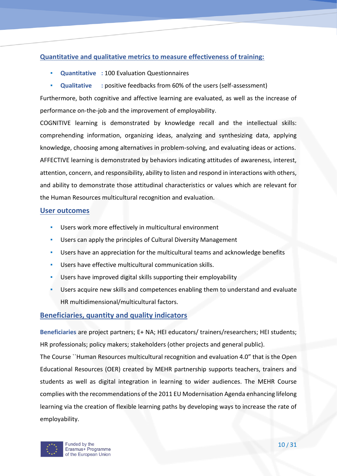## **Quantitative and qualitative metrics to measure effectiveness of training:**

- **Quantitative : 100 Evaluation Questionnaires**
- **Qualitative : positive feedbacks from 60% of the users (self-assessment)**

Furthermore, both cognitive and affective learning are evaluated, as well as the increase of performance on-the-job and the improvement of employability.

COGNITIVE learning is demonstrated by knowledge recall and the intellectual skills: comprehending information, organizing ideas, analyzing and synthesizing data, applying knowledge, choosing among alternatives in problem-solving, and evaluating ideas or actions. AFFECTIVE learning is demonstrated by behaviors indicating attitudes of awareness, interest, attention, concern, and responsibility, ability to listen and respond in interactions with others, and ability to demonstrate those attitudinal characteristics or values which are relevant for the Human Resources multicultural recognition and evaluation.

### **User outcomes**

- Users work more effectively in multicultural environment
- Users can apply the principles of Cultural Diversity Management
- Users have an appreciation for the multicultural teams and acknowledge benefits
- Users have effective multicultural communication skills.
- **Users have improved digital skills supporting their employability**
- Users acquire new skills and competences enabling them to understand and evaluate HR multidimensional/multicultural factors.

## **Beneficiaries, quantity and quality indicators**

**Beneficiaries** are project partners; E+ NA; HEI educators/ trainers/researchers; HEI students; HR professionals; policy makers; stakeholders (other projects and general public).

The Course ``Human Resources multicultural recognition and evaluation 4.0" that is the Open Educational Resources (OER) created by MEHR partnership supports teachers, trainers and students as well as digital integration in learning to wider audiences. The MEHR Course complies with the recommendations of the 2011 EU Modernisation Agenda enhancing lifelong learning via the creation of flexible learning paths by developing ways to increase the rate of employability.

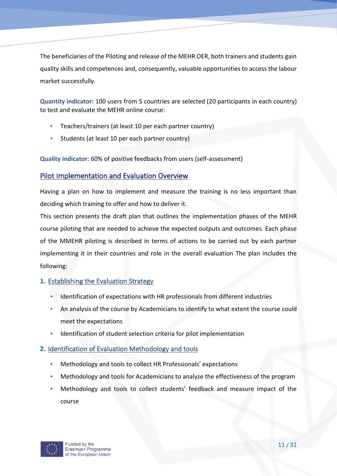The beneficiaries of the Piloting and release of the MEHR OER, both trainers and students gain quality skills and competences and, consequently, valuable opportunities to access the labour market successfully.

**Quantity indicator:** 100 users from 5 countries are selected (20 participants in each country) to test and evaluate the MEHR online course:

- Teachers/trainers (at least 10 per each partner country)
- Students (at least 10 per each partner country)

**Quality indicator:** 60% of positive feedbacks from users (self-assessment)

## Pilot Implementation and Evaluation Overview

Having a plan on how to implement and measure the training is no less important than deciding which training to offer and how to deliver it.

This section presents the draft plan that outlines the implementation phases of the MEHR course piloting that are needed to achieve the expected outputs and outcomes. Each phase of the MMEHR piloting is described in terms of actions to be carried out by each partner implementing it in their countries and role in the overall evaluation The plan includes the following:

## **1.** Establishing the Evaluation Strategy

- **•** Identification of expectations with HR professionals from different industries
- **An analysis of the course by Academicians to identify to what extent the course could** meet the expectations
- Identification of student selection criteria for pilot implementation

## **2.** Identification of Evaluation Methodology and tools

- Methodology and tools to collect HR Professionals' expectations
- Methodology and tools for Academicians to analyze the effectiveness of the program
- Methodology and tools to collect students' feedback and measure impact of the course

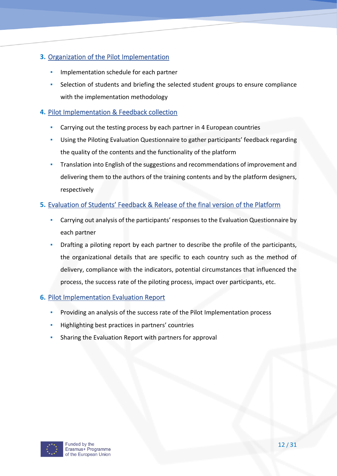## **3.** Organization of the Pilot Implementation

- Implementation schedule for each partner
- Selection of students and briefing the selected student groups to ensure compliance with the implementation methodology

## **4.** Pilot Implementation & Feedback collection

- Carrying out the testing process by each partner in 4 European countries
- Using the Piloting Evaluation Questionnaire to gather participants' feedback regarding the quality of the contents and the functionality of the platform
- Translation into English of the suggestions and recommendations of improvement and delivering them to the authors of the training contents and by the platform designers, respectively

## **5.** Evaluation of Students' Feedback & Release of the final version of the Platform

- Carrying out analysis of the participants' responses to the Evaluation Questionnaire by each partner
- Drafting a piloting report by each partner to describe the profile of the participants, the organizational details that are specific to each country such as the method of delivery, compliance with the indicators, potential circumstances that influenced the process, the success rate of the piloting process, impact over participants, etc.

## **6.** Pilot Implementation Evaluation Report

- Providing an analysis of the success rate of the Pilot Implementation process
- Highlighting best practices in partners' countries
- Sharing the Evaluation Report with partners for approval

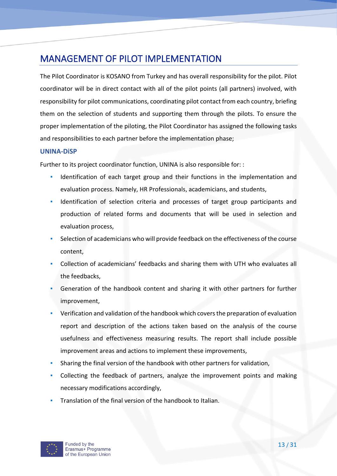## MANAGEMENT OF PILOT IMPLEMENTATION

The Pilot Coordinator is KOSANO from Turkey and has overall responsibility for the pilot. Pilot coordinator will be in direct contact with all of the pilot points (all partners) involved, with responsibility for pilot communications, coordinating pilot contact from each country, briefing them on the selection of students and supporting them through the pilots. To ensure the proper implementation of the piloting, the Pilot Coordinator has assigned the following tasks and responsibilities to each partner before the implementation phase;

#### **UNINA-DiSP**

Further to its project coordinator function, UNINA is also responsible for: :

- Identification of each target group and their functions in the implementation and evaluation process. Namely, HR Professionals, academicians, and students,
- Identification of selection criteria and processes of target group participants and production of related forms and documents that will be used in selection and evaluation process,
- Selection of academicians who will provide feedback on the effectiveness of the course content,
- Collection of academicians' feedbacks and sharing them with UTH who evaluates all the feedbacks,
- Generation of the handbook content and sharing it with other partners for further improvement,
- Verification and validation of the handbook which covers the preparation of evaluation report and description of the actions taken based on the analysis of the course usefulness and effectiveness measuring results. The report shall include possible improvement areas and actions to implement these improvements,
- Sharing the final version of the handbook with other partners for validation,
- Collecting the feedback of partners, analyze the improvement points and making necessary modifications accordingly,
- Translation of the final version of the handbook to Italian.

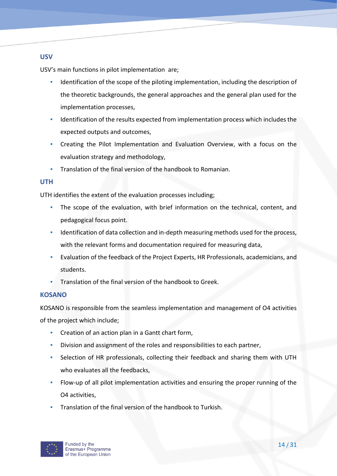## **USV**

USV's main functions in pilot implementation are;

- Identification of the scope of the piloting implementation, including the description of the theoretic backgrounds, the general approaches and the general plan used for the implementation processes,
- **•** Identification of the results expected from implementation process which includes the expected outputs and outcomes,
- Creating the Pilot Implementation and Evaluation Overview, with a focus on the evaluation strategy and methodology,
- Translation of the final version of the handbook to Romanian.

## **UTH**

UTH identifies the extent of the evaluation processes including;

- The scope of the evaluation, with brief information on the technical, content, and pedagogical focus point.
- **•** Identification of data collection and in-depth measuring methods used for the process, with the relevant forms and documentation required for measuring data,
- Evaluation of the feedback of the Project Experts, HR Professionals, academicians, and students.
- Translation of the final version of the handbook to Greek.

## **KOSANO**

KOSANO is responsible from the seamless implementation and management of O4 activities of the project which include;

- Creation of an action plan in a Gantt chart form,
- Division and assignment of the roles and responsibilities to each partner,
- Selection of HR professionals, collecting their feedback and sharing them with UTH who evaluates all the feedbacks,
- **•** Flow-up of all pilot implementation activities and ensuring the proper running of the O4 activities,
- Translation of the final version of the handbook to Turkish.

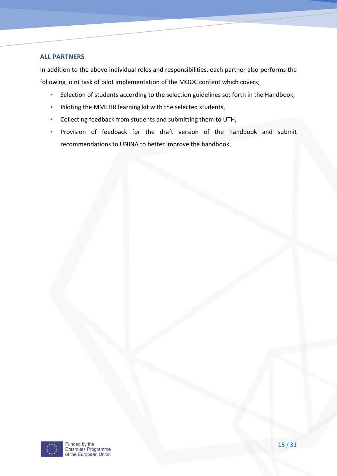#### **ALL PARTNERS**

In addition to the above individual roles and responsibilities, each partner also performs the following joint task of pilot implementation of the MOOC content which covers;

- Selection of students according to the selection guidelines set forth in the Handbook,
- Piloting the MMEHR learning kit with the selected students,
- Collecting feedback from students and submitting them to UTH,
- Provision of feedback for the draft version of the handbook and submit recommendations to UNINA to better improve the handbook.

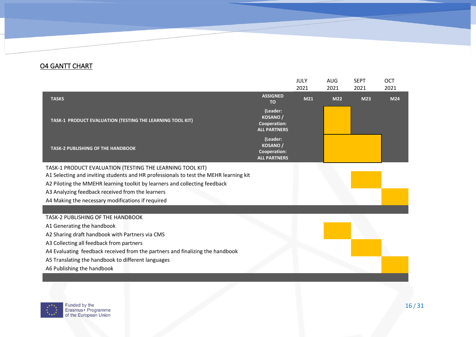## O4 GANTT CHART

|                                                                                       |                                                                          | JULY            | <b>AUG</b> | <b>SEPT</b> | OCT  |
|---------------------------------------------------------------------------------------|--------------------------------------------------------------------------|-----------------|------------|-------------|------|
|                                                                                       |                                                                          | 2021            | 2021       | 2021        | 2021 |
| <b>TASKS</b>                                                                          | <b>ASSIGNED</b><br><b>TO</b>                                             | M <sub>21</sub> | <b>M22</b> | M23         | M24  |
| TASK-1 PRODUCT EVALUATION (TESTING THE LEARNING TOOL KIT)                             | (Leader:<br>KOSANO /<br><b>Cooperation:</b><br><b>ALL PARTNERS</b>       |                 |            |             |      |
| <b>TASK-2 PUBLISHING OF THE HANDBOOK</b>                                              | (Leader:<br><b>KOSANO/</b><br><b>Cooperation:</b><br><b>ALL PARTNERS</b> |                 |            |             |      |
| TASK-1 PRODUCT EVALUATION (TESTING THE LEARNING TOOL KIT)                             |                                                                          |                 |            |             |      |
| A1 Selecting and inviting students and HR professionals to test the MEHR learning kit |                                                                          |                 |            |             |      |
| A2 Piloting the MMEHR learning toolkit by learners and collecting feedback            |                                                                          |                 |            |             |      |
| A3 Analyzing feedback received from the learners                                      |                                                                          |                 |            |             |      |
| A4 Making the necessary modifications if required                                     |                                                                          |                 |            |             |      |
|                                                                                       |                                                                          |                 |            |             |      |
| TASK-2 PUBLISHING OF THE HANDBOOK                                                     |                                                                          |                 |            |             |      |
| A1 Generating the handbook                                                            |                                                                          |                 |            |             |      |
| A2 Sharing draft handbook with Partners via CMS                                       |                                                                          |                 |            |             |      |
| A3 Collecting all feedback from partners                                              |                                                                          |                 |            |             |      |
| A4 Evaluating feedback received from the partners and finalizing the handbook         |                                                                          |                 |            |             |      |
| A5 Translating the handbook to different languages                                    |                                                                          |                 |            |             |      |
| A6 Publishing the handbook                                                            |                                                                          |                 |            |             |      |
|                                                                                       |                                                                          |                 |            |             |      |

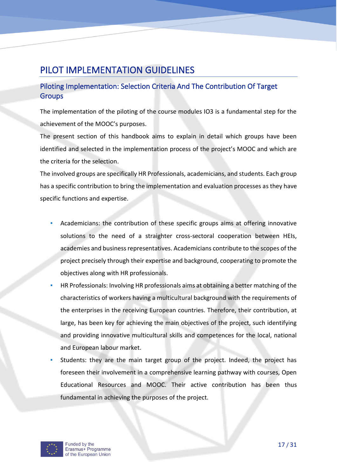## PILOT IMPLEMENTATION GUIDELINES

## Piloting Implementation: Selection Criteria And The Contribution Of Target **Groups**

The implementation of the piloting of the course modules IO3 is a fundamental step for the achievement of the MOOC's purposes.

The present section of this handbook aims to explain in detail which groups have been identified and selected in the implementation process of the project's MOOC and which are the criteria for the selection.

The involved groups are specifically HR Professionals, academicians, and students. Each group has a specific contribution to bring the implementation and evaluation processes as they have specific functions and expertise.

- Academicians: the contribution of these specific groups aims at offering innovative solutions to the need of a straighter cross-sectoral cooperation between HEIs, academies and business representatives. Academicians contribute to the scopes of the project precisely through their expertise and background, cooperating to promote the objectives along with HR professionals.
- HR Professionals: Involving HR professionals aims at obtaining a better matching of the characteristics of workers having a multicultural background with the requirements of the enterprises in the receiving European countries. Therefore, their contribution, at large, has been key for achieving the main objectives of the project, such identifying and providing innovative multicultural skills and competences for the local, national and European labour market.
- Students: they are the main target group of the project. Indeed, the project has foreseen their involvement in a comprehensive learning pathway with courses, Open Educational Resources and MOOC. Their active contribution has been thus fundamental in achieving the purposes of the project.

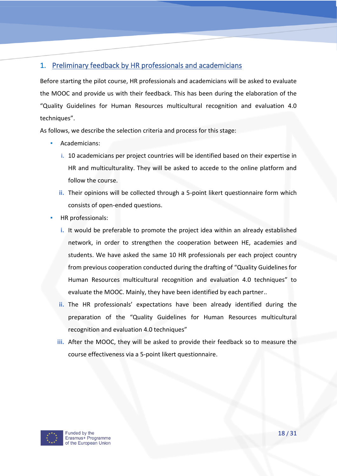## 1. Preliminary feedback by HR professionals and academicians

Before starting the pilot course, HR professionals and academicians will be asked to evaluate the MOOC and provide us with their feedback. This has been during the elaboration of the "Quality Guidelines for Human Resources multicultural recognition and evaluation 4.0 techniques".

As follows, we describe the selection criteria and process for this stage:

- Academicians:
	- **i.** 10 academicians per project countries will be identified based on their expertise in HR and multiculturality. They will be asked to accede to the online platform and follow the course.
	- **ii.** Their opinions will be collected through a 5-point likert questionnaire form which consists of open-ended questions.
- HR professionals:
	- **i.** It would be preferable to promote the project idea within an already established network, in order to strengthen the cooperation between HE, academies and students. We have asked the same 10 HR professionals per each project country from previous cooperation conducted during the drafting of "Quality Guidelines for Human Resources multicultural recognition and evaluation 4.0 techniques" to evaluate the MOOC. Mainly, they have been identified by each partner..
	- **ii.** The HR professionals' expectations have been already identified during the preparation of the "Quality Guidelines for Human Resources multicultural recognition and evaluation 4.0 techniques"
	- **iii.** After the MOOC, they will be asked to provide their feedback so to measure the course effectiveness via a 5-point likert questionnaire.

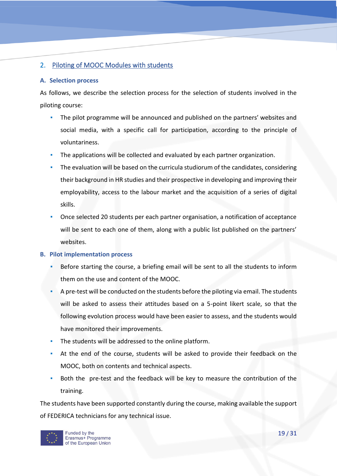## 2. Piloting of MOOC Modules with students

#### **A. Selection process**

As follows, we describe the selection process for the selection of students involved in the piloting course:

- The pilot programme will be announced and published on the partners' websites and social media, with a specific call for participation, according to the principle of voluntariness.
- The applications will be collected and evaluated by each partner organization.
- The evaluation will be based on the curricula studiorum of the candidates, considering their background in HR studies and their prospective in developing and improving their employability, access to the labour market and the acquisition of a series of digital skills.
- Once selected 20 students per each partner organisation, a notification of acceptance will be sent to each one of them, along with a public list published on the partners' websites.

#### **B. Pilot implementation process**

- Before starting the course, a briefing email will be sent to all the students to inform them on the use and content of the MOOC.
- A pre-test will be conducted on the students before the piloting via email. The students will be asked to assess their attitudes based on a 5-point likert scale, so that the following evolution process would have been easier to assess, and the students would have monitored their improvements.
- The students will be addressed to the online platform.
- At the end of the course, students will be asked to provide their feedback on the MOOC, both on contents and technical aspects.
- Both the pre-test and the feedback will be key to measure the contribution of the training.

The students have been supported constantly during the course, making available the support of FEDERICA technicians for any technical issue.

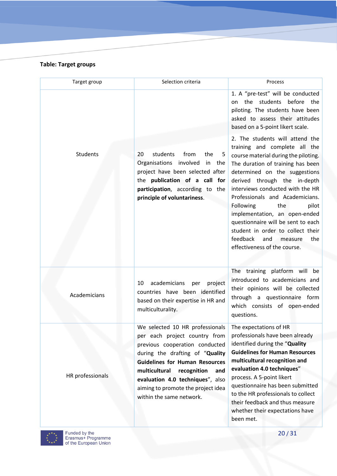#### **Table: Target groups**

| Target group     | Selection criteria                                                                                                                                                                                                                                                                       | Process                                                                                                                                                                                                                                                                                                                                                                                                                                                                                             |
|------------------|------------------------------------------------------------------------------------------------------------------------------------------------------------------------------------------------------------------------------------------------------------------------------------------|-----------------------------------------------------------------------------------------------------------------------------------------------------------------------------------------------------------------------------------------------------------------------------------------------------------------------------------------------------------------------------------------------------------------------------------------------------------------------------------------------------|
|                  |                                                                                                                                                                                                                                                                                          | 1. A "pre-test" will be conducted<br>the students before the<br>on<br>piloting. The students have been<br>asked to assess their attitudes<br>based on a 5-point likert scale.                                                                                                                                                                                                                                                                                                                       |
| Students         | students<br>from<br>20<br>the<br>5<br>Organisations involved<br>in<br>the<br>project have been selected after<br>the publication of a call for<br>participation, according to the<br>principle of voluntariness.                                                                         | 2. The students will attend the<br>training and complete all the<br>course material during the piloting.<br>The duration of training has been<br>determined on the suggestions<br>derived through the in-depth<br>interviews conducted with the HR<br>Professionals and Academicians.<br>Following<br>the<br>pilot<br>implementation, an open-ended<br>questionnaire will be sent to each<br>student in order to collect their<br>feedback<br>and<br>measure<br>the<br>effectiveness of the course. |
| Academicians     | academicians<br>project<br>10<br>per<br>countries have been identified<br>based on their expertise in HR and<br>multiculturality.                                                                                                                                                        | The training platform will be<br>introduced to academicians and<br>their opinions will be collected<br>through a questionnaire form<br>which consists of open-ended<br>questions.                                                                                                                                                                                                                                                                                                                   |
|                  | We selected 10 HR professionals The expectations of HR                                                                                                                                                                                                                                   |                                                                                                                                                                                                                                                                                                                                                                                                                                                                                                     |
| HR professionals | per each project country from<br>previous cooperation conducted<br>during the drafting of "Quality<br><b>Guidelines for Human Resources</b><br>multicultural<br>recognition<br>and<br>evaluation 4.0 techniques", also<br>aiming to promote the project idea<br>within the same network. | professionals have been already<br>identified during the "Quality<br><b>Guidelines for Human Resources</b><br>multicultural recognition and<br>evaluation 4.0 techniques"<br>process. A 5-point likert<br>questionnaire has been submitted<br>to the HR professionals to collect<br>their feedback and thus measure<br>whether their expectations have<br>been met.                                                                                                                                 |

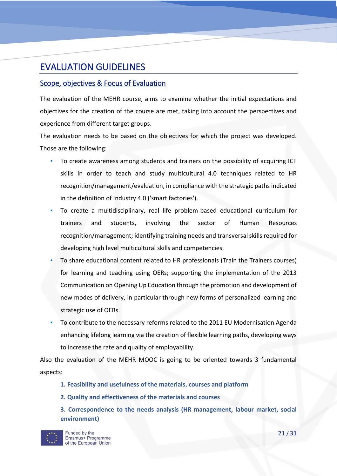## EVALUATION GUIDELINES

## Scope, objectives & Focus of Evaluation

The evaluation of the MEHR course, aims to examine whether the initial expectations and objectives for the creation of the course are met, taking into account the perspectives and experience from different target groups.

The evaluation needs to be based on the objectives for which the project was developed. Those are the following:

- To create awareness among students and trainers on the possibility of acquiring ICT skills in order to teach and study multicultural 4.0 techniques related to HR recognition/management/evaluation, in compliance with the strategic paths indicated in the definition of Industry 4.0 ('smart factories').
- To create a multidisciplinary, real life problem-based educational curriculum for trainers and students, involving the sector of Human Resources recognition/management; identifying training needs and transversal skills required for developing high level multicultural skills and competencies.
- To share educational content related to HR professionals (Train the Trainers courses) for learning and teaching using OERs; supporting the implementation of the 2013 Communication on Opening Up Education through the promotion and development of new modes of delivery, in particular through new forms of personalized learning and strategic use of OERs.
- To contribute to the necessary reforms related to the 2011 EU Modernisation Agenda enhancing lifelong learning via the creation of flexible learning paths, developing ways to increase the rate and quality of employability.

Also the evaluation of the MEHR MOOC is going to be oriented towards 3 fundamental aspects:

- **1. Feasibility and usefulness of the materials, courses and platform**
- **2. Quality and effectiveness of the materials and courses**
- **3. Correspondence to the needs analysis (HR management, labour market, social environment)**

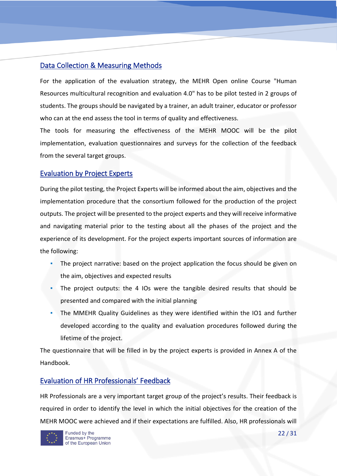## Data Collection & Measuring Methods

For the application of the evaluation strategy, the MEHR Open online Course "Human Resources multicultural recognition and evaluation 4.0" has to be pilot tested in 2 groups of students. The groups should be navigated by a trainer, an adult trainer, educator or professor who can at the end assess the tool in terms of quality and effectiveness.

The tools for measuring the effectiveness of the MEHR MOOC will be the pilot implementation, evaluation questionnaires and surveys for the collection of the feedback from the several target groups.

## Evaluation by Project Experts

During the pilot testing, the Project Experts will be informed about the aim, objectives and the implementation procedure that the consortium followed for the production of the project outputs. The project will be presented to the project experts and they will receive informative and navigating material prior to the testing about all the phases of the project and the experience of its development. For the project experts important sources of information are the following:

- The project narrative: based on the project application the focus should be given on the aim, objectives and expected results
- The project outputs: the 4 IOs were the tangible desired results that should be presented and compared with the initial planning
- The MMEHR Quality Guidelines as they were identified within the IO1 and further developed according to the quality and evaluation procedures followed during the lifetime of the project.

The questionnaire that will be filled in by the project experts is provided in Annex A of the Handbook.

## Evaluation of HR Professionals' Feedback

HR Professionals are a very important target group of the project's results. Their feedback is required in order to identify the level in which the initial objectives for the creation of the MEHR MOOC were achieved and if their expectations are fulfilled. Also, HR professionals will

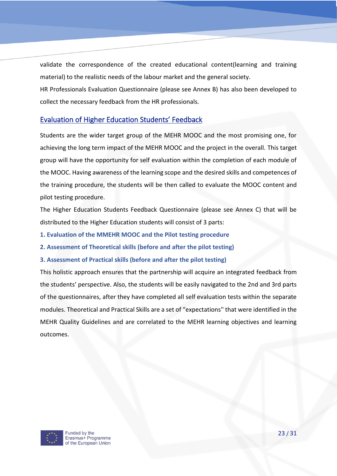validate the correspondence of the created educational content(learning and training material) to the realistic needs of the labour market and the general society.

HR Professionals Evaluation Questionnaire (please see Annex B) has also been developed to collect the necessary feedback from the HR professionals.

## Evaluation of Higher Education Students' Feedback

Students are the wider target group of the MEHR MOOC and the most promising one, for achieving the long term impact of the MEHR MOOC and the project in the overall. This target group will have the opportunity for self evaluation within the completion of each module of the MOOC. Having awareness of the learning scope and the desired skills and competences of the training procedure, the students will be then called to evaluate the MOOC content and pilot testing procedure.

The Higher Education Students Feedback Questionnaire (please see Annex C) that will be distributed to the Higher Education students will consist of 3 parts:

- **1. Evaluation of the MMEHR MOOC and the Pilot testing procedure**
- **2. Assessment of Theoretical skills (before and after the pilot testing)**
- **3. Assessment of Practical skills (before and after the pilot testing)**

This holistic approach ensures that the partnership will acquire an integrated feedback from the students' perspective. Also, the students will be easily navigated to the 2nd and 3rd parts of the questionnaires, after they have completed all self evaluation tests within the separate modules. Theoretical and Practical Skills are a set of "expectations'' that were identified in the MEHR Quality Guidelines and are correlated to the MEHR learning objectives and learning outcomes.

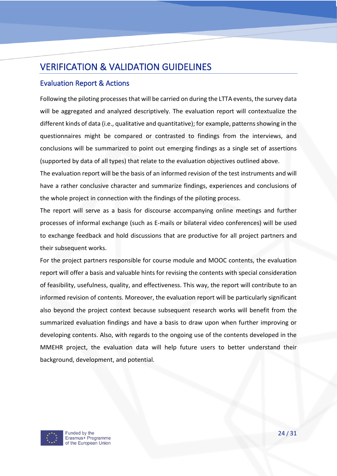## VERIFICATION & VALIDATION GUIDELINES

## Evaluation Report & Actions

Following the piloting processes that will be carried on during the LTTA events, the survey data will be aggregated and analyzed descriptively. The evaluation report will contextualize the different kinds of data (i.e., qualitative and quantitative); for example, patterns showing in the questionnaires might be compared or contrasted to findings from the interviews, and conclusions will be summarized to point out emerging findings as a single set of assertions (supported by data of all types) that relate to the evaluation objectives outlined above.

The evaluation report will be the basis of an informed revision of the test instruments and will have a rather conclusive character and summarize findings, experiences and conclusions of the whole project in connection with the findings of the piloting process.

The report will serve as a basis for discourse accompanying online meetings and further processes of informal exchange (such as E-mails or bilateral video conferences) will be used to exchange feedback and hold discussions that are productive for all project partners and their subsequent works.

For the project partners responsible for course module and MOOC contents, the evaluation report will offer a basis and valuable hints for revising the contents with special consideration of feasibility, usefulness, quality, and effectiveness. This way, the report will contribute to an informed revision of contents. Moreover, the evaluation report will be particularly significant also beyond the project context because subsequent research works will benefit from the summarized evaluation findings and have a basis to draw upon when further improving or developing contents. Also, with regards to the ongoing use of the contents developed in the MMEHR project, the evaluation data will help future users to better understand their background, development, and potential.

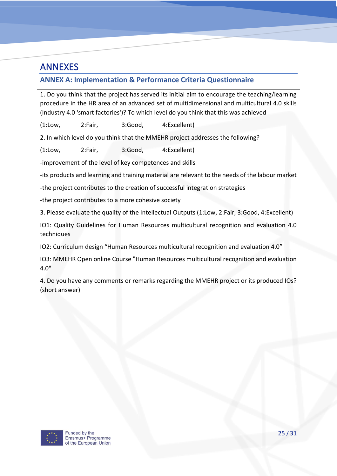## ANNEXES

## **ANNEX A: Implementation & Performance Criteria Questionnaire**

1. Do you think that the project has served its initial aim to encourage the teaching/learning procedure in the HR area of an advanced set of multidimensional and multicultural 4.0 skills (Industry 4.0 'smart factories')? To which level do you think that this was achieved

(1:Low, 2:Fair, 3:Good, 4:Excellent)

2. In which level do you think that the MMEHR project addresses the following?

(1:Low, 2:Fair, 3:Good, 4:Excellent)

-improvement of the level of key competences and skills

-its products and learning and training material are relevant to the needs of the labour market

-the project contributes to the creation of successful integration strategies

-the project contributes to a more cohesive society

3. Please evaluate the quality of the Intellectual Outputs (1:Low, 2:Fair, 3:Good, 4:Excellent)

IO1: Quality Guidelines for Human Resources multicultural recognition and evaluation 4.0 techniques

IO2: Curriculum design "Human Resources multicultural recognition and evaluation 4.0"

IO3: MMEHR Open online Course "Human Resources multicultural recognition and evaluation 4.0"

4. Do you have any comments or remarks regarding the MMEHR project or its produced IOs? (short answer)

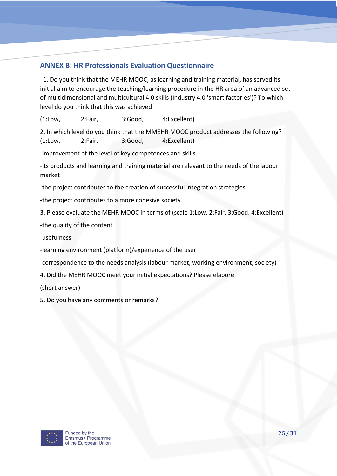## **ANNEX B: HR Professionals Evaluation Questionnaire**

 1. Do you think that the MEHR MOOC, as learning and training material, has served its initial aim to encourage the teaching/learning procedure in the HR area of an advanced set of multidimensional and multicultural 4.0 skills (Industry 4.0 'smart factories')? To which level do you think that this was achieved

(1:Low, 2:Fair, 3:Good, 4:Excellent)

2. In which level do you think that the MMEHR MOOC product addresses the following? (1:Low, 2:Fair, 3:Good, 4:Excellent)

-improvement of the level of key competences and skills

-its products and learning and training material are relevant to the needs of the labour market

-the project contributes to the creation of successful integration strategies

-the project contributes to a more cohesive society

3. Please evaluate the MEHR MOOC in terms of (scale 1:Low, 2:Fair, 3:Good, 4:Excellent)

-the quality of the content

-usefulness

-learning environment (platform)/experience of the user

-correspondence to the needs analysis (labour market, working environment, society)

4. Did the MEHR MOOC meet your initial expectations? Please elabore:

(short answer)

5. Do you have any comments or remarks?

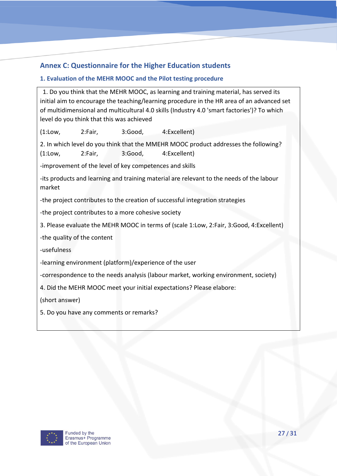## **Annex C: Questionnaire for the Higher Education students**

### **1. Evaluation of the MEHR MOOC and the Pilot testing procedure**

 1. Do you think that the MEHR MOOC, as learning and training material, has served its initial aim to encourage the teaching/learning procedure in the HR area of an advanced set of multidimensional and multicultural 4.0 skills (Industry 4.0 'smart factories')? To which level do you think that this was achieved

(1:Low, 2:Fair, 3:Good, 4:Excellent)

2. In which level do you think that the MMEHR MOOC product addresses the following? (1:Low, 2:Fair, 3:Good, 4:Excellent)

-improvement of the level of key competences and skills

-its products and learning and training material are relevant to the needs of the labour market

-the project contributes to the creation of successful integration strategies

-the project contributes to a more cohesive society

3. Please evaluate the MEHR MOOC in terms of (scale 1:Low, 2:Fair, 3:Good, 4:Excellent)

-the quality of the content

-usefulness

-learning environment (platform)/experience of the user

-correspondence to the needs analysis (labour market, working environment, society)

4. Did the MEHR MOOC meet your initial expectations? Please elabore:

(short answer)

5. Do you have any comments or remarks?

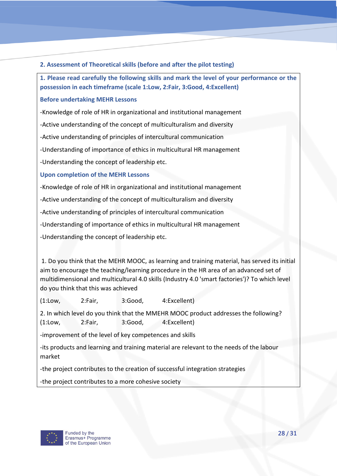#### **2. Assessment of Theoretical skills (before and after the pilot testing)**

**1. Please read carefully the following skills and mark the level of your performance or the possession in each timeframe (scale 1:Low, 2:Fair, 3:Good, 4:Excellent)**

#### **Before undertaking MEHR Lessons**

-Knowledge of role of HR in organizational and institutional management

-Active understanding of the concept of multiculturalism and diversity

-Active understanding of principles of intercultural communication

-Understanding of importance of ethics in multicultural HR management

-Understanding the concept of leadership etc.

**Upon completion of the MEHR Lessons**

-Knowledge of role of HR in organizational and institutional management

-Active understanding of the concept of multiculturalism and diversity

-Active understanding of principles of intercultural communication

-Understanding of importance of ethics in multicultural HR management

-Understanding the concept of leadership etc.

1. Do you think that the MEHR MOOC, as learning and training material, has served its initial aim to encourage the teaching/learning procedure in the HR area of an advanced set of multidimensional and multicultural 4.0 skills (Industry 4.0 'smart factories')? To which level do you think that this was achieved

(1:Low, 2:Fair, 3:Good, 4:Excellent)

2. In which level do you think that the MMEHR MOOC product addresses the following? (1:Low, 2:Fair, 3:Good, 4:Excellent)

-improvement of the level of key competences and skills

-its products and learning and training material are relevant to the needs of the labour market

-the project contributes to the creation of successful integration strategies

-the project contributes to a more cohesive society

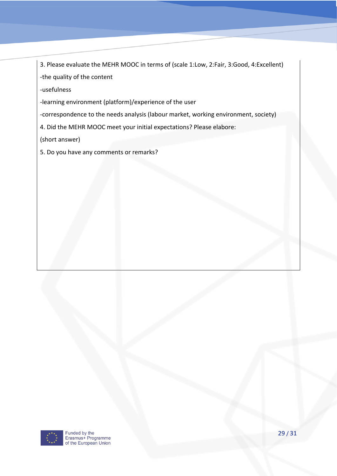3. Please evaluate the MEHR MOOC in terms of (scale 1:Low, 2:Fair, 3:Good, 4:Excellent) -the quality of the content

-usefulness

-learning environment (platform)/experience of the user

-correspondence to the needs analysis (labour market, working environment, society)

4. Did the MEHR MOOC meet your initial expectations? Please elabore:

(short answer)

5. Do you have any comments or remarks?